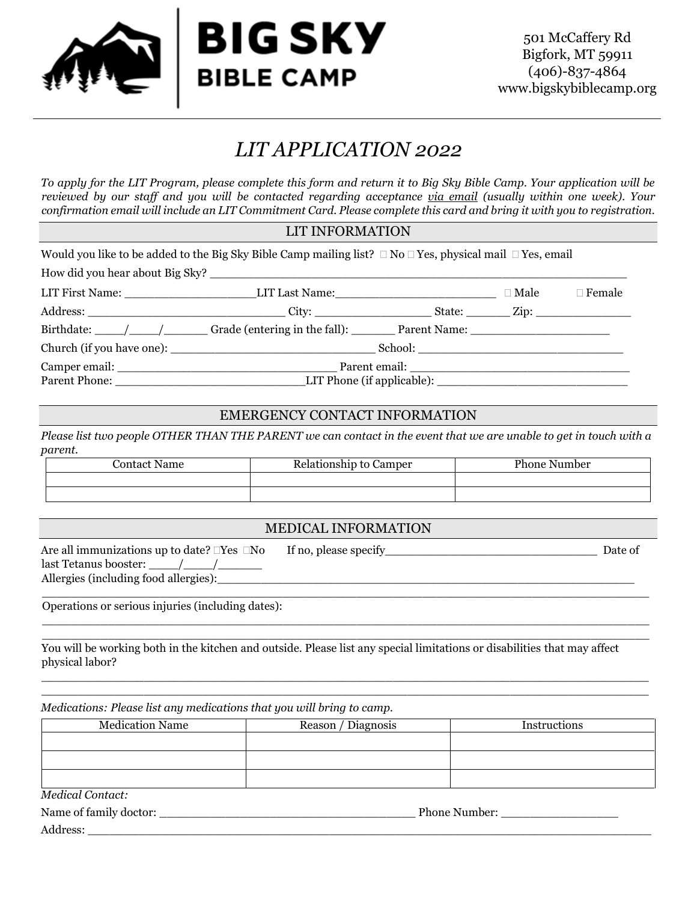

# *LIT APPLICATION 2022*

*To apply for the LIT Program, please complete this form and return it to Big Sky Bible Camp. Your application will be reviewed by our staff and you will be contacted regarding acceptance via email (usually within one week). Your confirmation email will include an LIT Commitment Card. Please complete this card and bring it with you to registration.* 

#### LIT INFORMATION

| Would you like to be added to the Big Sky Bible Camp mailing list? $\Box$ No $\Box$ Yes, physical mail $\Box$ Yes, email |  |             |               |
|--------------------------------------------------------------------------------------------------------------------------|--|-------------|---------------|
|                                                                                                                          |  |             |               |
|                                                                                                                          |  | $\Box$ Male | $\Box$ Female |
|                                                                                                                          |  |             |               |
| Birthdate: /// Grade (entering in the fall): Parent Name:                                                                |  |             |               |
|                                                                                                                          |  |             |               |
| Parent Phone: LIT Phone (if applicable):                                                                                 |  |             |               |

#### EMERGENCY CONTACT INFORMATION

*Please list two people OTHER THAN THE PARENT we can contact in the event that we are unable to get in touch with a parent.*

| Contact Name | Relationship to Camper | <b>Phone Number</b> |
|--------------|------------------------|---------------------|
|              |                        |                     |
|              |                        |                     |

|                                                                                                                 | <b>MEDICAL INFORMATION</b> |         |
|-----------------------------------------------------------------------------------------------------------------|----------------------------|---------|
| Are all immunizations up to date? $\Box \mathrm{Yes}~\Box \mathrm{No}$<br>Allergies (including food allergies): |                            | Date of |

 $\_$  , and the set of the set of the set of the set of the set of the set of the set of the set of the set of the set of the set of the set of the set of the set of the set of the set of the set of the set of the set of th \_\_\_\_\_\_\_\_\_\_\_\_\_\_\_\_\_\_\_\_\_\_\_\_\_\_\_\_\_\_\_\_\_\_\_\_\_\_\_\_\_\_\_\_\_\_\_\_\_\_\_\_\_\_\_\_\_\_\_\_\_\_\_\_\_\_\_\_\_\_\_\_\_\_\_\_\_\_\_\_\_\_\_

 $\_$  , and the set of the set of the set of the set of the set of the set of the set of the set of the set of the set of the set of the set of the set of the set of the set of the set of the set of the set of the set of th  $\_$  , and the set of the set of the set of the set of the set of the set of the set of the set of the set of the set of the set of the set of the set of the set of the set of the set of the set of the set of the set of th

Operations or serious injuries (including dates):

You will be working both in the kitchen and outside. Please list any special limitations or disabilities that may affect physical labor?

*Medications: Please list any medications that you will bring to camp.*

| <b>Medication Name</b> | Reason / Diagnosis | Instructions |
|------------------------|--------------------|--------------|
|                        |                    |              |
|                        |                    |              |
|                        |                    |              |
| Modical Content        |                    |              |

*Medical Contact:*

| Name<br>doctor:<br><b>family</b><br>OI | 1ber <sup>.</sup><br>∙none. |
|----------------------------------------|-----------------------------|
| Address:                               |                             |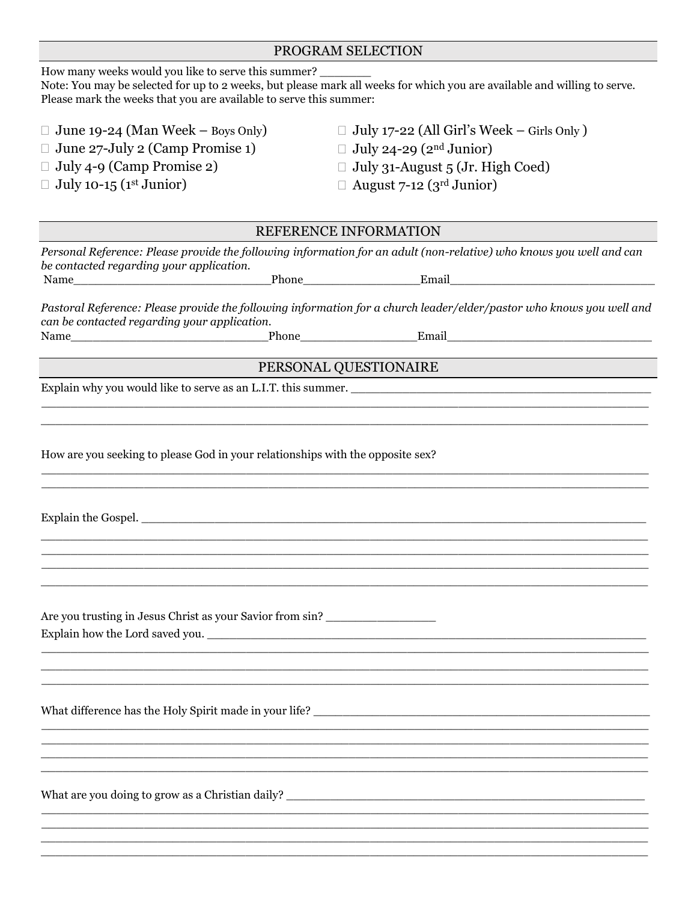| Prease mark the weeks that you are available to serve this summer.             |                                                                                                                      |
|--------------------------------------------------------------------------------|----------------------------------------------------------------------------------------------------------------------|
| $\Box$ June 19-24 (Man Week – Boys Only)                                       | $\Box$ July 17-22 (All Girl's Week – Girls Only)                                                                     |
| $\Box$ June 27-July 2 (Camp Promise 1)                                         | $\Box$ July 24-29 (2 <sup>nd</sup> Junior)                                                                           |
| $\Box$ July 4-9 (Camp Promise 2)                                               | $\Box$ July 31-August 5 (Jr. High Coed)                                                                              |
| $\Box$ July 10-15 (1 <sup>st</sup> Junior)                                     | $\Box$ August 7-12 (3 <sup>rd</sup> Junior)                                                                          |
|                                                                                |                                                                                                                      |
|                                                                                | REFERENCE INFORMATION                                                                                                |
| be contacted regarding your application.                                       | Personal Reference: Please provide the following information for an adult (non-relative) who knows you well and can  |
|                                                                                |                                                                                                                      |
| can be contacted regarding your application.                                   | Pastoral Reference: Please provide the following information for a church leader/elder/pastor who knows you well and |
|                                                                                |                                                                                                                      |
|                                                                                | PERSONAL QUESTIONAIRE                                                                                                |
|                                                                                | Explain why you would like to serve as an L.I.T. this summer.                                                        |
|                                                                                |                                                                                                                      |
|                                                                                |                                                                                                                      |
| How are you seeking to please God in your relationships with the opposite sex? |                                                                                                                      |
|                                                                                |                                                                                                                      |
|                                                                                |                                                                                                                      |
|                                                                                |                                                                                                                      |
|                                                                                |                                                                                                                      |
| Are you trusting in Jesus Christ as your Savior from sin?                      |                                                                                                                      |
| Explain how the Lord saved you.                                                |                                                                                                                      |
|                                                                                |                                                                                                                      |
|                                                                                |                                                                                                                      |
|                                                                                |                                                                                                                      |
|                                                                                |                                                                                                                      |
|                                                                                |                                                                                                                      |
|                                                                                |                                                                                                                      |
|                                                                                |                                                                                                                      |
|                                                                                | What are you doing to grow as a Christian daily?                                                                     |
|                                                                                |                                                                                                                      |
|                                                                                |                                                                                                                      |

 $\_$  , and the set of the set of the set of the set of the set of the set of the set of the set of the set of the set of the set of the set of the set of the set of the set of the set of the set of the set of the set of th

## PROGRAM SELECTION

How many weeks would you like to serve this summer? \_

Note: You may be selected for up to 2 weeks, but please mark all weeks for which you are available and willing to serve. Please mark the weeks that you are available to serve this summer:

- 
- June 27-July 2 (Camp Promise 1)
- 
- $\Box$  July 10-15 (1st Junior)